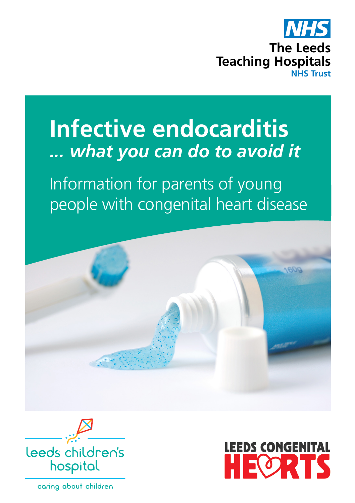

# **Infective endocarditis**  *... what you can do to avoid it*

Information for parents of young people with congenital heart disease





caring about children

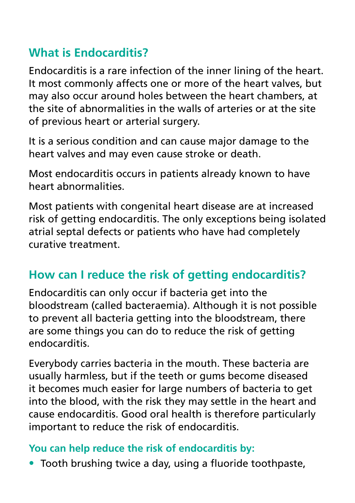# **What is Endocarditis?**

Endocarditis is a rare infection of the inner lining of the heart. It most commonly affects one or more of the heart valves, but may also occur around holes between the heart chambers, at the site of abnormalities in the walls of arteries or at the site of previous heart or arterial surgery.

It is a serious condition and can cause major damage to the heart valves and may even cause stroke or death.

Most endocarditis occurs in patients already known to have heart abnormalities.

Most patients with congenital heart disease are at increased risk of getting endocarditis. The only exceptions being isolated atrial septal defects or patients who have had completely curative treatment.

# **How can I reduce the risk of getting endocarditis?**

Endocarditis can only occur if bacteria get into the bloodstream (called bacteraemia). Although it is not possible to prevent all bacteria getting into the bloodstream, there are some things you can do to reduce the risk of getting endocarditis.

Everybody carries bacteria in the mouth. These bacteria are usually harmless, but if the teeth or gums become diseased it becomes much easier for large numbers of bacteria to get into the blood, with the risk they may settle in the heart and cause endocarditis. Good oral health is therefore particularly important to reduce the risk of endocarditis.

#### **You can help reduce the risk of endocarditis by:**

• Tooth brushing twice a day, using a fluoride toothpaste,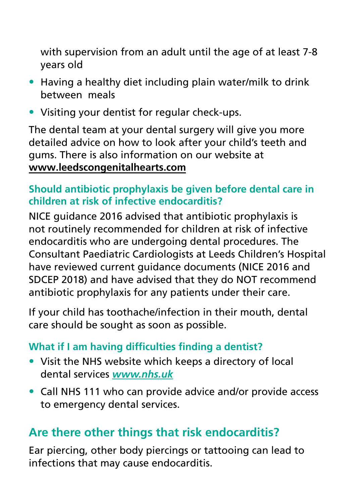with supervision from an adult until the age of at least 7-8 years old

- Having a healthy diet including plain water/milk to drink between meals
- Visiting your dentist for regular check-ups.

The dental team at your dental surgery will give you more detailed advice on how to look after your child's teeth and gums. There is also information on our website at **[www.leedscongenitalhearts.com](http://www.leedscongenitalhearts.com)**

#### **Should antibiotic prophylaxis be given before dental care in children at risk of infective endocarditis?**

NICE guidance 2016 advised that antibiotic prophylaxis is not routinely recommended for children at risk of infective endocarditis who are undergoing dental procedures. The Consultant Paediatric Cardiologists at Leeds Children's Hospital have reviewed current guidance documents (NICE 2016 and SDCEP 2018) and have advised that they do NOT recommend antibiotic prophylaxis for any patients under their care.

If your child has toothache/infection in their mouth, dental care should be sought as soon as possible.

#### **What if I am having difficulties finding a dentist?**

- Visit the NHS website which keeps a directory of local dental services *www.nhs.uk*
- Call NHS 111 who can provide advice and/or provide access to emergency dental services.

# **Are there other things that risk endocarditis?**

Ear piercing, other body piercings or tattooing can lead to infections that may cause endocarditis.